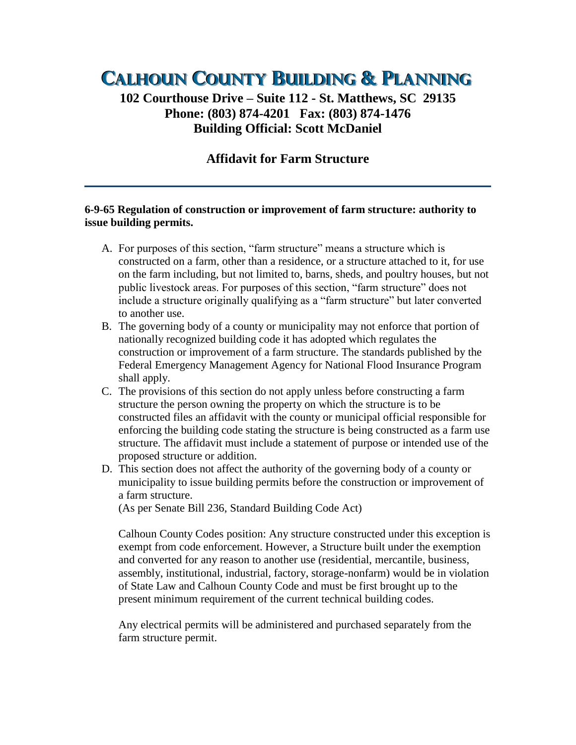# **CALHOUN COUNTY BUILDING & PLANNING**

## **102 Courthouse Drive – Suite 112 - St. Matthews, SC 29135 Phone: (803) 874-4201 Fax: (803) 874-1476 Building Official: Scott McDaniel**

## **Affidavit for Farm Structure**

#### **6-9-65 Regulation of construction or improvement of farm structure: authority to issue building permits.**

- A. For purposes of this section, "farm structure" means a structure which is constructed on a farm, other than a residence, or a structure attached to it, for use on the farm including, but not limited to, barns, sheds, and poultry houses, but not public livestock areas. For purposes of this section, "farm structure" does not include a structure originally qualifying as a "farm structure" but later converted to another use.
- B. The governing body of a county or municipality may not enforce that portion of nationally recognized building code it has adopted which regulates the construction or improvement of a farm structure. The standards published by the Federal Emergency Management Agency for National Flood Insurance Program shall apply.
- C. The provisions of this section do not apply unless before constructing a farm structure the person owning the property on which the structure is to be constructed files an affidavit with the county or municipal official responsible for enforcing the building code stating the structure is being constructed as a farm use structure. The affidavit must include a statement of purpose or intended use of the proposed structure or addition.
- D. This section does not affect the authority of the governing body of a county or municipality to issue building permits before the construction or improvement of a farm structure.

(As per Senate Bill 236, Standard Building Code Act)

Calhoun County Codes position: Any structure constructed under this exception is exempt from code enforcement. However, a Structure built under the exemption and converted for any reason to another use (residential, mercantile, business, assembly, institutional, industrial, factory, storage-nonfarm) would be in violation of State Law and Calhoun County Code and must be first brought up to the present minimum requirement of the current technical building codes.

Any electrical permits will be administered and purchased separately from the farm structure permit.